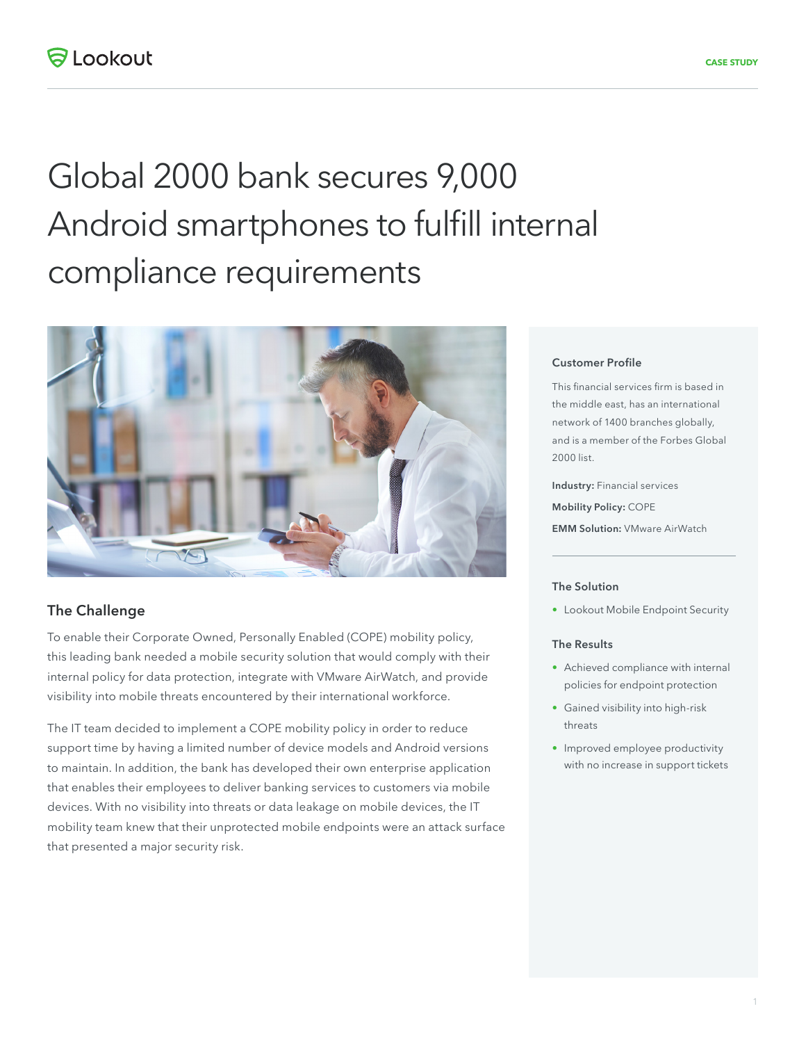# Global 2000 bank secures 9,000 Android smartphones to fulfill internal compliance requirements



## **The Challenge**

To enable their Corporate Owned, Personally Enabled (COPE) mobility policy, this leading bank needed a mobile security solution that would comply with their internal policy for data protection, integrate with VMware AirWatch, and provide visibility into mobile threats encountered by their international workforce.

The IT team decided to implement a COPE mobility policy in order to reduce support time by having a limited number of device models and Android versions to maintain. In addition, the bank has developed their own enterprise application that enables their employees to deliver banking services to customers via mobile devices. With no visibility into threats or data leakage on mobile devices, the IT mobility team knew that their unprotected mobile endpoints were an attack surface that presented a major security risk.

### **Customer Profile**

This financial services firm is based in the middle east, has an international network of 1400 branches globally, and is a member of the Forbes Global 2000 list.

**Industry:** Financial services **Mobility Policy:** COPE **EMM Solution:** VMware AirWatch

#### **The Solution**

• Lookout Mobile Endpoint Security

#### **The Results**

- Achieved compliance with internal policies for endpoint protection
- Gained visibility into high-risk threats
- Improved employee productivity with no increase in support tickets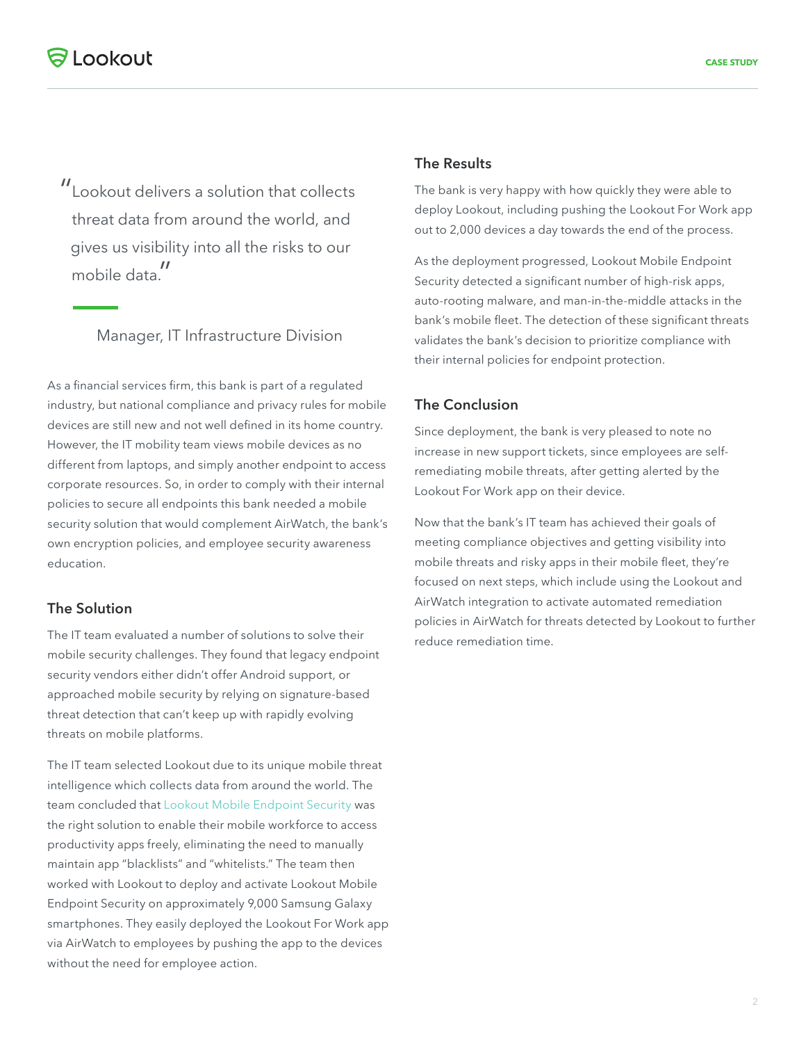"Lookout delivers a solution that collects threat data from around the world, and gives us visibility into all the risks to our mobile data."

# Manager, IT Infrastructure Division

As a financial services firm, this bank is part of a regulated industry, but national compliance and privacy rules for mobile devices are still new and not well defined in its home country. However, the IT mobility team views mobile devices as no different from laptops, and simply another endpoint to access corporate resources. So, in order to comply with their internal policies to secure all endpoints this bank needed a mobile security solution that would complement AirWatch, the bank's own encryption policies, and employee security awareness education.

# **The Solution**

The IT team evaluated a number of solutions to solve their mobile security challenges. They found that legacy endpoint security vendors either didn't offer Android support, or approached mobile security by relying on signature-based threat detection that can't keep up with rapidly evolving threats on mobile platforms.

The IT team selected Lookout due to its unique mobile threat intelligence which collects data from around the world. The team concluded that Lookout Mobile Endpoint Security was the right solution to enable their mobile workforce to access productivity apps freely, eliminating the need to manually maintain app "blacklists" and "whitelists." The team then worked with Lookout to deploy and activate Lookout Mobile Endpoint Security on approximately 9,000 Samsung Galaxy smartphones. They easily deployed the Lookout For Work app via AirWatch to employees by pushing the app to the devices without the need for employee action.

## **The Results**

The bank is very happy with how quickly they were able to deploy Lookout, including pushing the Lookout For Work app out to 2,000 devices a day towards the end of the process.

As the deployment progressed, Lookout Mobile Endpoint Security detected a significant number of high-risk apps, auto-rooting malware, and man-in-the-middle attacks in the bank's mobile fleet. The detection of these significant threats validates the bank's decision to prioritize compliance with their internal policies for endpoint protection.

## **The Conclusion**

Since deployment, the bank is very pleased to note no increase in new support tickets, since employees are selfremediating mobile threats, after getting alerted by the Lookout For Work app on their device.

Now that the bank's IT team has achieved their goals of meeting compliance objectives and getting visibility into mobile threats and risky apps in their mobile fleet, they're focused on next steps, which include using the Lookout and AirWatch integration to activate automated remediation policies in AirWatch for threats detected by Lookout to further reduce remediation time.